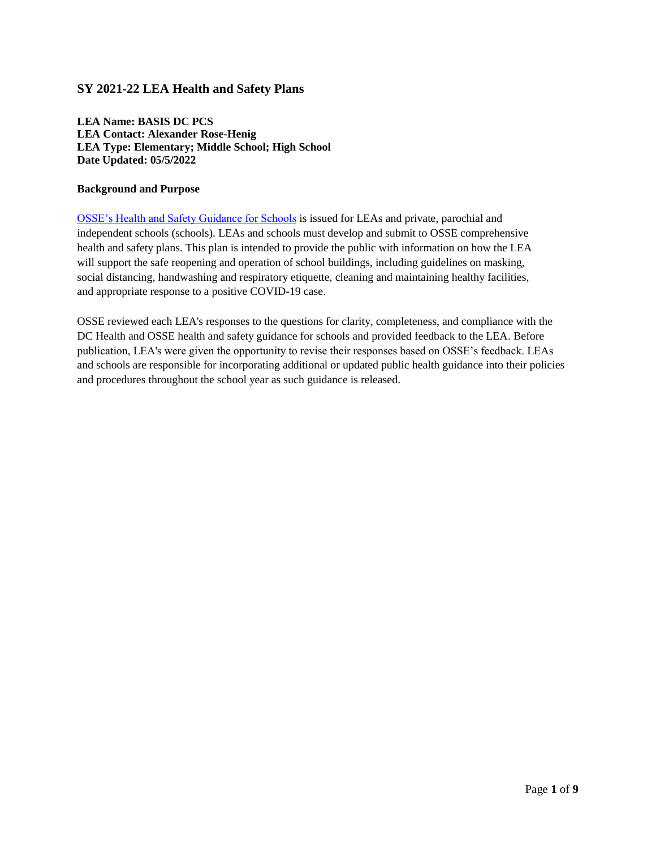# **SY 2021-22 LEA Health and Safety Plans**

**LEA Name: BASIS DC PCS LEA Contact: Alexander Rose-Henig LEA Type: Elementary; Middle School; High School Date Updated: 05/5/2022**

### **Background and Purpose**

[OSSE's Health and Safety Guidance for Schools](https://osse.dc.gov/page/guidance-and-resources-covid-19-related-closures-and-recovery#health_safety) is issued for LEAs and private, parochial and independent schools (schools). LEAs and schools must develop and submit to OSSE comprehensive health and safety plans. This plan is intended to provide the public with information on how the LEA will support the safe reopening and operation of school buildings, including guidelines on masking, social distancing, handwashing and respiratory etiquette, cleaning and maintaining healthy facilities, and appropriate response to a positive COVID-19 case.

OSSE reviewed each LEA's responses to the questions for clarity, completeness, and compliance with the DC Health and OSSE health and safety guidance for schools and provided feedback to the LEA. Before publication, LEA's were given the opportunity to revise their responses based on OSSE's feedback. LEAs and schools are responsible for incorporating additional or updated public health guidance into their policies and procedures throughout the school year as such guidance is released.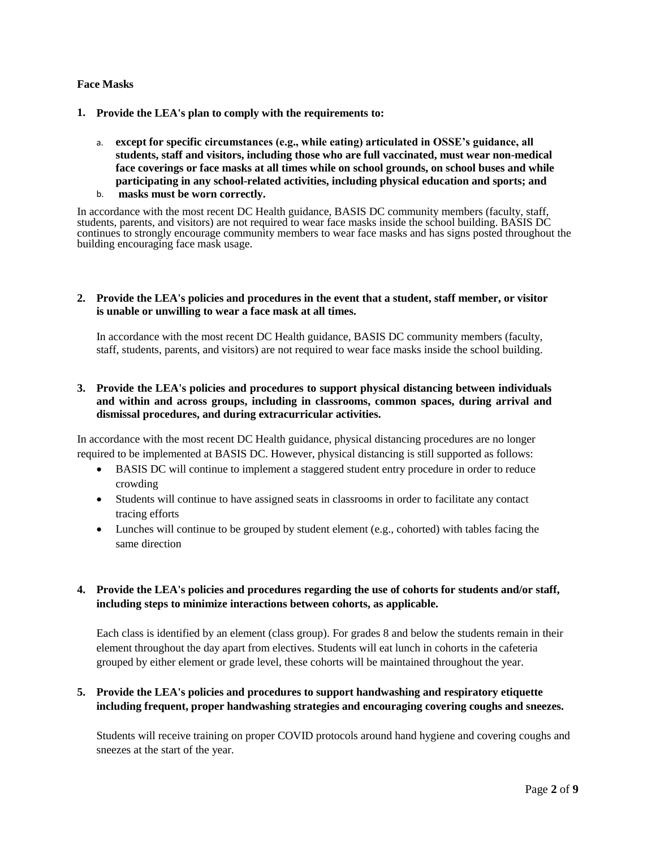#### **Face Masks**

- **1. Provide the LEA's plan to comply with the requirements to:**
	- a. **except for specific circumstances (e.g., while eating) articulated in OSSE's guidance, all students, staff and visitors, including those who are full vaccinated, must wear non-medical face coverings or face masks at all times while on school grounds, on school buses and while participating in any school-related activities, including physical education and sports; and** b. **masks must be worn correctly.**

In accordance with the most recent DC Health guidance, BASIS DC community members (faculty, staff, students, parents, and visitors) are not required to wear face masks inside the school building. BASIS DC continues to strongly encourage community members to wear face masks and has signs posted throughout the building encouraging face mask usage.

#### **2. Provide the LEA's policies and procedures in the event that a student, staff member, or visitor is unable or unwilling to wear a face mask at all times.**

In accordance with the most recent DC Health guidance, BASIS DC community members (faculty, staff, students, parents, and visitors) are not required to wear face masks inside the school building.

### **3. Provide the LEA's policies and procedures to support physical distancing between individuals and within and across groups, including in classrooms, common spaces, during arrival and dismissal procedures, and during extracurricular activities.**

In accordance with the most recent DC Health guidance, physical distancing procedures are no longer required to be implemented at BASIS DC. However, physical distancing is still supported as follows:

- BASIS DC will continue to implement a staggered student entry procedure in order to reduce crowding
- Students will continue to have assigned seats in classrooms in order to facilitate any contact tracing efforts
- Lunches will continue to be grouped by student element (e.g., cohorted) with tables facing the same direction

# **4. Provide the LEA's policies and procedures regarding the use of cohorts for students and/or staff, including steps to minimize interactions between cohorts, as applicable.**

Each class is identified by an element (class group). For grades 8 and below the students remain in their element throughout the day apart from electives. Students will eat lunch in cohorts in the cafeteria grouped by either element or grade level, these cohorts will be maintained throughout the year.

## **5. Provide the LEA's policies and procedures to support handwashing and respiratory etiquette including frequent, proper handwashing strategies and encouraging covering coughs and sneezes.**

Students will receive training on proper COVID protocols around hand hygiene and covering coughs and sneezes at the start of the year.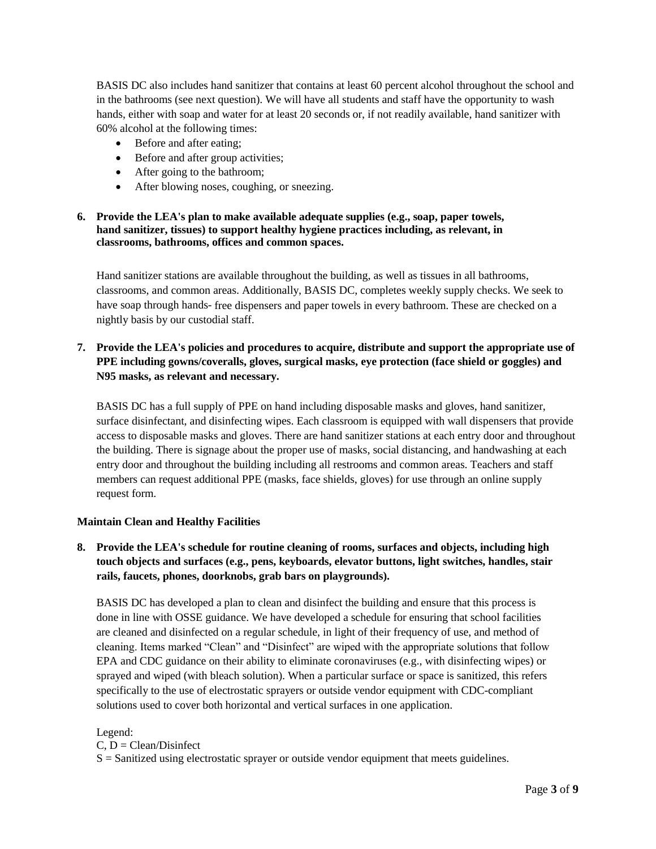BASIS DC also includes hand sanitizer that contains at least 60 percent alcohol throughout the school and in the bathrooms (see next question). We will have all students and staff have the opportunity to wash hands, either with soap and water for at least 20 seconds or, if not readily available, hand sanitizer with 60% alcohol at the following times:

- Before and after eating;
- Before and after group activities;
- After going to the bathroom;
- After blowing noses, coughing, or sneezing.

### **6. Provide the LEA's plan to make available adequate supplies (e.g., soap, paper towels, hand sanitizer, tissues) to support healthy hygiene practices including, as relevant, in classrooms, bathrooms, offices and common spaces.**

Hand sanitizer stations are available throughout the building, as well as tissues in all bathrooms, classrooms, and common areas. Additionally, BASIS DC, completes weekly supply checks. We seek to have soap through hands- free dispensers and paper towels in every bathroom. These are checked on a nightly basis by our custodial staff.

# **7. Provide the LEA's policies and procedures to acquire, distribute and support the appropriate use of PPE including gowns/coveralls, gloves, surgical masks, eye protection (face shield or goggles) and N95 masks, as relevant and necessary.**

BASIS DC has a full supply of PPE on hand including disposable masks and gloves, hand sanitizer, surface disinfectant, and disinfecting wipes. Each classroom is equipped with wall dispensers that provide access to disposable masks and gloves. There are hand sanitizer stations at each entry door and throughout the building. There is signage about the proper use of masks, social distancing, and handwashing at each entry door and throughout the building including all restrooms and common areas. Teachers and staff members can request additional PPE (masks, face shields, gloves) for use through an online supply request form.

## **Maintain Clean and Healthy Facilities**

# **8. Provide the LEA's schedule for routine cleaning of rooms, surfaces and objects, including high touch objects and surfaces (e.g., pens, keyboards, elevator buttons, light switches, handles, stair rails, faucets, phones, doorknobs, grab bars on playgrounds).**

BASIS DC has developed a plan to clean and disinfect the building and ensure that this process is done in line with OSSE guidance. We have developed a schedule for ensuring that school facilities are cleaned and disinfected on a regular schedule, in light of their frequency of use, and method of cleaning. Items marked "Clean" and "Disinfect" are wiped with the appropriate solutions that follow EPA and CDC guidance on their ability to eliminate coronaviruses (e.g., with disinfecting wipes) or sprayed and wiped (with bleach solution). When a particular surface or space is sanitized, this refers specifically to the use of electrostatic sprayers or outside vendor equipment with CDC-compliant solutions used to cover both horizontal and vertical surfaces in one application.

Legend:

 $C$ ,  $D = Clean/Disinfect$ 

S = Sanitized using electrostatic sprayer or outside vendor equipment that meets guidelines.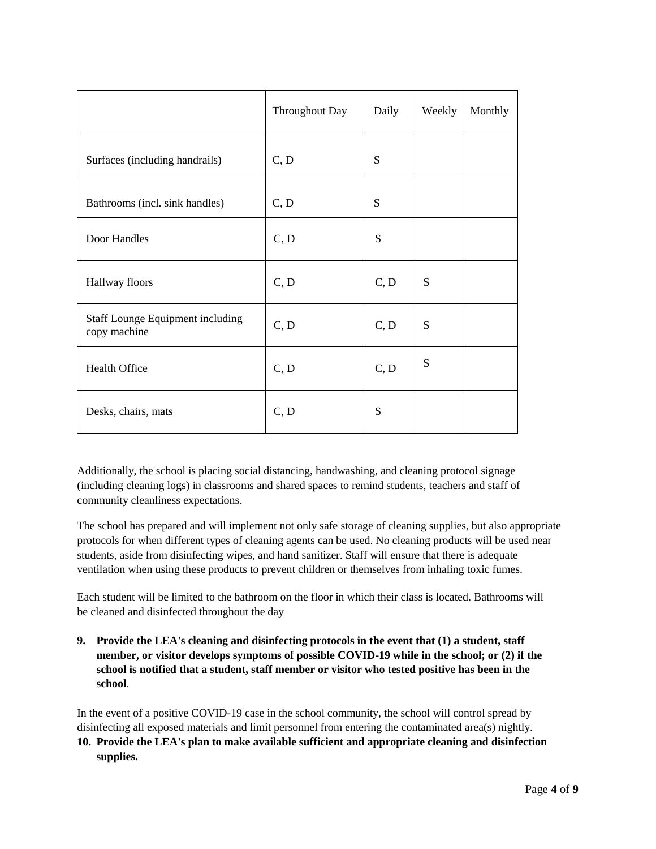|                                                         | Throughout Day | Daily | Weekly | Monthly |
|---------------------------------------------------------|----------------|-------|--------|---------|
| Surfaces (including handrails)                          | C, D           | S     |        |         |
| Bathrooms (incl. sink handles)                          | C, D           | S     |        |         |
| Door Handles                                            | C, D           | S     |        |         |
| Hallway floors                                          | C, D           | C, D  | S      |         |
| <b>Staff Lounge Equipment including</b><br>copy machine | C, D           | C, D  | S      |         |
| Health Office                                           | C, D           | C, D  | S      |         |
| Desks, chairs, mats                                     | C, D           | S     |        |         |

Additionally, the school is placing social distancing, handwashing, and cleaning protocol signage (including cleaning logs) in classrooms and shared spaces to remind students, teachers and staff of community cleanliness expectations.

The school has prepared and will implement not only safe storage of cleaning supplies, but also appropriate protocols for when different types of cleaning agents can be used. No cleaning products will be used near students, aside from disinfecting wipes, and hand sanitizer. Staff will ensure that there is adequate ventilation when using these products to prevent children or themselves from inhaling toxic fumes.

Each student will be limited to the bathroom on the floor in which their class is located. Bathrooms will be cleaned and disinfected throughout the day

**9. Provide the LEA's cleaning and disinfecting protocols in the event that (1) a student, staff member, or visitor develops symptoms of possible COVID-19 while in the school; or (2) if the school is notified that a student, staff member or visitor who tested positive has been in the school**.

In the event of a positive COVID-19 case in the school community, the school will control spread by disinfecting all exposed materials and limit personnel from entering the contaminated area(s) nightly.

**10. Provide the LEA's plan to make available sufficient and appropriate cleaning and disinfection supplies.**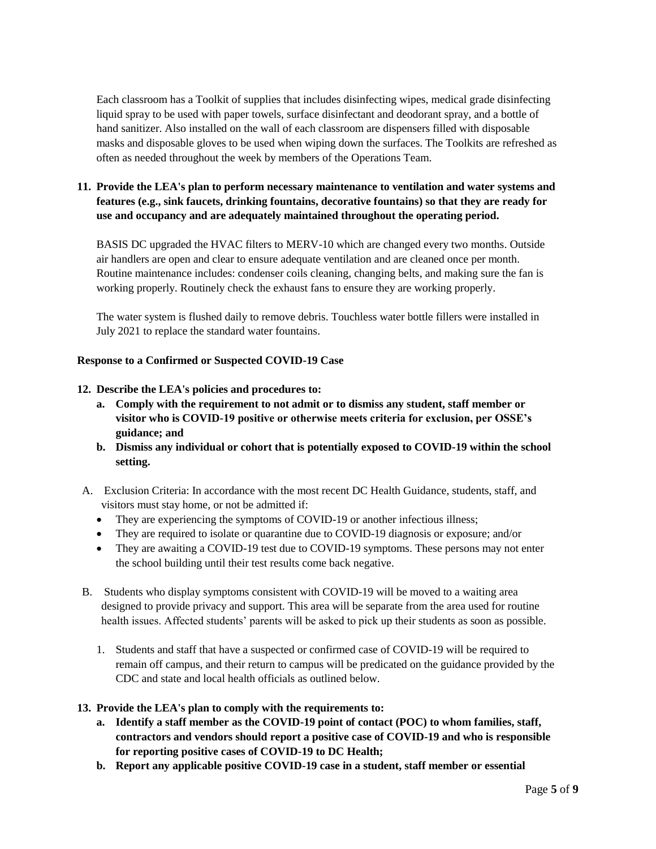Each classroom has a Toolkit of supplies that includes disinfecting wipes, medical grade disinfecting liquid spray to be used with paper towels, surface disinfectant and deodorant spray, and a bottle of hand sanitizer. Also installed on the wall of each classroom are dispensers filled with disposable masks and disposable gloves to be used when wiping down the surfaces. The Toolkits are refreshed as often as needed throughout the week by members of the Operations Team.

# **11. Provide the LEA's plan to perform necessary maintenance to ventilation and water systems and features (e.g., sink faucets, drinking fountains, decorative fountains) so that they are ready for use and occupancy and are adequately maintained throughout the operating period.**

BASIS DC upgraded the HVAC filters to MERV-10 which are changed every two months. Outside air handlers are open and clear to ensure adequate ventilation and are cleaned once per month. Routine maintenance includes: condenser coils cleaning, changing belts, and making sure the fan is working properly. Routinely check the exhaust fans to ensure they are working properly.

The water system is flushed daily to remove debris. Touchless water bottle fillers were installed in July 2021 to replace the standard water fountains.

### **Response to a Confirmed or Suspected COVID-19 Case**

#### **12. Describe the LEA's policies and procedures to:**

- **a. Comply with the requirement to not admit or to dismiss any student, staff member or visitor who is COVID-19 positive or otherwise meets criteria for exclusion, per OSSE's guidance; and**
- **b. Dismiss any individual or cohort that is potentially exposed to COVID-19 within the school setting.**
- A. Exclusion Criteria: In accordance with the most recent DC Health Guidance, students, staff, and visitors must stay home, or not be admitted if:
	- They are experiencing the symptoms of COVID-19 or another infectious illness;
	- They are required to isolate or quarantine due to COVID-19 diagnosis or exposure; and/or
	- They are awaiting a COVID-19 test due to COVID-19 symptoms. These persons may not enter the school building until their test results come back negative.
- B. Students who display symptoms consistent with COVID-19 will be moved to a waiting area designed to provide privacy and support. This area will be separate from the area used for routine health issues. Affected students' parents will be asked to pick up their students as soon as possible.
	- 1. Students and staff that have a suspected or confirmed case of COVID-19 will be required to remain off campus, and their return to campus will be predicated on the guidance provided by the CDC and state and local health officials as outlined below.
- **13. Provide the LEA's plan to comply with the requirements to:**
	- **a. Identify a staff member as the COVID-19 point of contact (POC) to whom families, staff, contractors and vendors should report a positive case of COVID-19 and who is responsible for reporting positive cases of COVID-19 to DC Health;**
	- **b. Report any applicable positive COVID-19 case in a student, staff member or essential**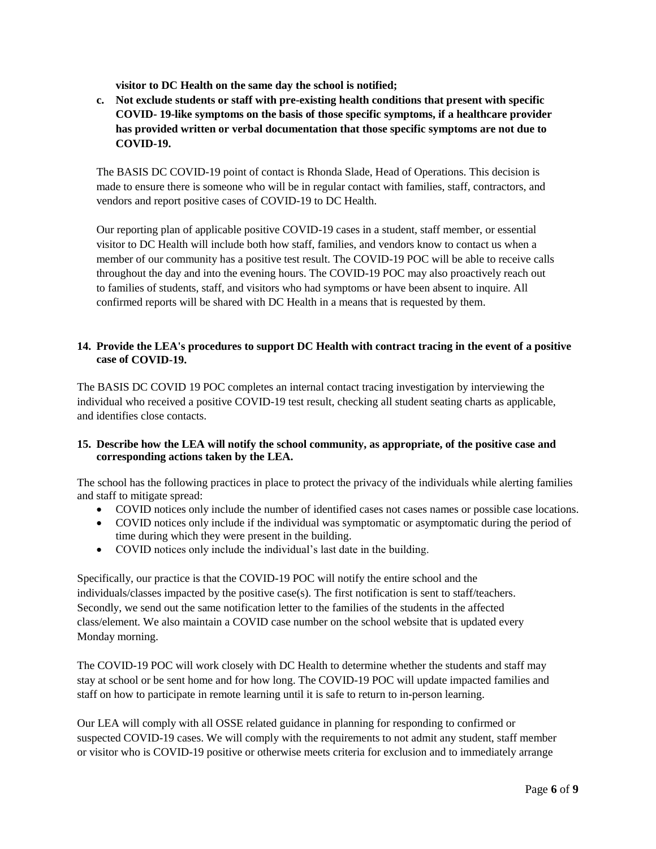**visitor to DC Health on the same day the school is notified;**

**c. Not exclude students or staff with pre-existing health conditions that present with specific COVID- 19-like symptoms on the basis of those specific symptoms, if a healthcare provider has provided written or verbal documentation that those specific symptoms are not due to COVID-19.**

The BASIS DC COVID-19 point of contact is Rhonda Slade, Head of Operations. This decision is made to ensure there is someone who will be in regular contact with families, staff, contractors, and vendors and report positive cases of COVID-19 to DC Health.

Our reporting plan of applicable positive COVID-19 cases in a student, staff member, or essential visitor to DC Health will include both how staff, families, and vendors know to contact us when a member of our community has a positive test result. The COVID-19 POC will be able to receive calls throughout the day and into the evening hours. The COVID-19 POC may also proactively reach out to families of students, staff, and visitors who had symptoms or have been absent to inquire. All confirmed reports will be shared with DC Health in a means that is requested by them.

### **14. Provide the LEA's procedures to support DC Health with contract tracing in the event of a positive case of COVID-19.**

The BASIS DC COVID 19 POC completes an internal contact tracing investigation by interviewing the individual who received a positive COVID-19 test result, checking all student seating charts as applicable, and identifies close contacts.

### **15. Describe how the LEA will notify the school community, as appropriate, of the positive case and corresponding actions taken by the LEA.**

The school has the following practices in place to protect the privacy of the individuals while alerting families and staff to mitigate spread:

- COVID notices only include the number of identified cases not cases names or possible case locations.
- COVID notices only include if the individual was symptomatic or asymptomatic during the period of time during which they were present in the building.
- COVID notices only include the individual's last date in the building.

Specifically, our practice is that the COVID-19 POC will notify the entire school and the individuals/classes impacted by the positive case(s). The first notification is sent to staff/teachers. Secondly, we send out the same notification letter to the families of the students in the affected class/element. We also maintain a COVID case number on the school website that is updated every Monday morning.

The COVID-19 POC will work closely with DC Health to determine whether the students and staff may stay at school or be sent home and for how long. The COVID-19 POC will update impacted families and staff on how to participate in remote learning until it is safe to return to in-person learning.

Our LEA will comply with all OSSE related guidance in planning for responding to confirmed or suspected COVID-19 cases. We will comply with the requirements to not admit any student, staff member or visitor who is COVID-19 positive or otherwise meets criteria for exclusion and to immediately arrange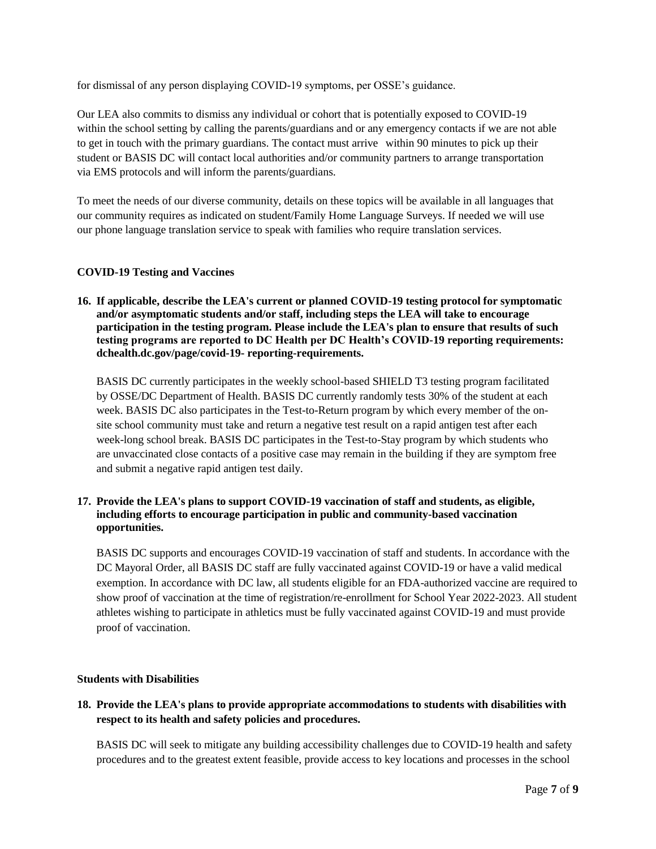for dismissal of any person displaying COVID-19 symptoms, per OSSE's guidance.

Our LEA also commits to dismiss any individual or cohort that is potentially exposed to COVID-19 within the school setting by calling the parents/guardians and or any emergency contacts if we are not able to get in touch with the primary guardians. The contact must arrive within 90 minutes to pick up their student or BASIS DC will contact local authorities and/or community partners to arrange transportation via EMS protocols and will inform the parents/guardians.

To meet the needs of our diverse community, details on these topics will be available in all languages that our community requires as indicated on student/Family Home Language Surveys. If needed we will use our phone language translation service to speak with families who require translation services.

### **COVID-19 Testing and Vaccines**

**16. If applicable, describe the LEA's current or planned COVID-19 testing protocol for symptomatic and/or asymptomatic students and/or staff, including steps the LEA will take to encourage participation in the testing program. Please include the LEA's plan to ensure that results of such testing programs are reported to DC Health per DC Health's COVID-19 reporting requirements: dchealth.dc.gov/page/covid-19- reporting-requirements.**

BASIS DC currently participates in the weekly school-based SHIELD T3 testing program facilitated by OSSE/DC Department of Health. BASIS DC currently randomly tests 30% of the student at each week. BASIS DC also participates in the Test-to-Return program by which every member of the onsite school community must take and return a negative test result on a rapid antigen test after each week-long school break. BASIS DC participates in the Test-to-Stay program by which students who are unvaccinated close contacts of a positive case may remain in the building if they are symptom free and submit a negative rapid antigen test daily.

## **17. Provide the LEA's plans to support COVID-19 vaccination of staff and students, as eligible, including efforts to encourage participation in public and community-based vaccination opportunities.**

BASIS DC supports and encourages COVID-19 vaccination of staff and students. In accordance with the DC Mayoral Order, all BASIS DC staff are fully vaccinated against COVID-19 or have a valid medical exemption. In accordance with DC law, all students eligible for an FDA-authorized vaccine are required to show proof of vaccination at the time of registration/re-enrollment for School Year 2022-2023. All student athletes wishing to participate in athletics must be fully vaccinated against COVID-19 and must provide proof of vaccination.

#### **Students with Disabilities**

# **18. Provide the LEA's plans to provide appropriate accommodations to students with disabilities with respect to its health and safety policies and procedures.**

BASIS DC will seek to mitigate any building accessibility challenges due to COVID-19 health and safety procedures and to the greatest extent feasible, provide access to key locations and processes in the school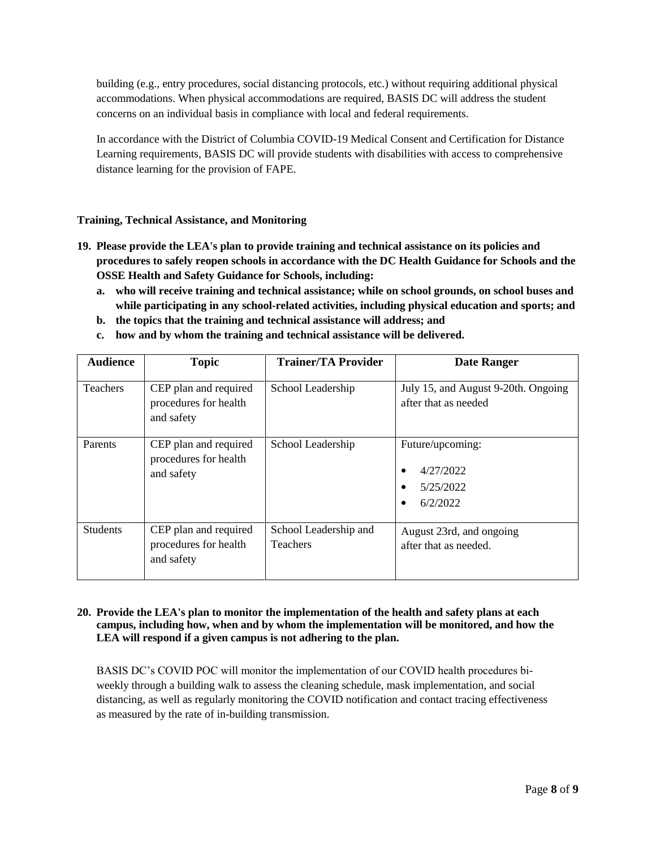building (e.g., entry procedures, social distancing protocols, etc.) without requiring additional physical accommodations. When physical accommodations are required, BASIS DC will address the student concerns on an individual basis in compliance with local and federal requirements.

In accordance with the District of Columbia COVID-19 Medical Consent and Certification for Distance Learning requirements, BASIS DC will provide students with disabilities with access to comprehensive distance learning for the provision of FAPE.

## **Training, Technical Assistance, and Monitoring**

- **19. Please provide the LEA's plan to provide training and technical assistance on its policies and procedures to safely reopen schools in accordance with the DC Health Guidance for Schools and the OSSE Health and Safety Guidance for Schools, including:**
	- **a. who will receive training and technical assistance; while on school grounds, on school buses and while participating in any school-related activities, including physical education and sports; and**
	- **b. the topics that the training and technical assistance will address; and**
	- **c. how and by whom the training and technical assistance will be delivered.**

| <b>Audience</b> | <b>Topic</b>                                                 | <b>Trainer/TA Provider</b>               | <b>Date Ranger</b>                                          |
|-----------------|--------------------------------------------------------------|------------------------------------------|-------------------------------------------------------------|
| <b>Teachers</b> | CEP plan and required<br>procedures for health<br>and safety | School Leadership                        | July 15, and August 9-20th. Ongoing<br>after that as needed |
| Parents         | CEP plan and required<br>procedures for health<br>and safety | School Leadership                        | Future/upcoming:<br>4/27/2022<br>5/25/2022<br>6/2/2022      |
| <b>Students</b> | CEP plan and required<br>procedures for health<br>and safety | School Leadership and<br><b>Teachers</b> | August 23rd, and ongoing<br>after that as needed.           |

#### **20. Provide the LEA's plan to monitor the implementation of the health and safety plans at each campus, including how, when and by whom the implementation will be monitored, and how the LEA will respond if a given campus is not adhering to the plan.**

BASIS DC's COVID POC will monitor the implementation of our COVID health procedures biweekly through a building walk to assess the cleaning schedule, mask implementation, and social distancing, as well as regularly monitoring the COVID notification and contact tracing effectiveness as measured by the rate of in-building transmission.